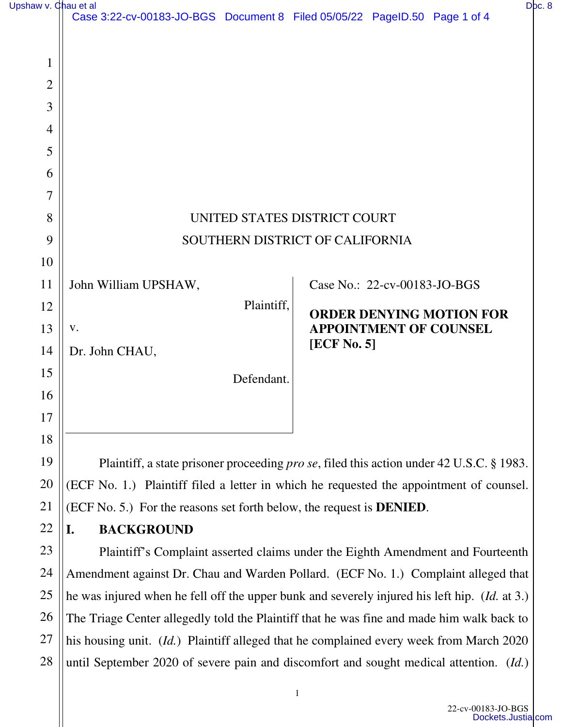| Upshaw v. Chau et al |                                                                                                       |                                 | Doc. 8 |
|----------------------|-------------------------------------------------------------------------------------------------------|---------------------------------|--------|
|                      | Case 3:22-cv-00183-JO-BGS Document 8 Filed 05/05/22 PageID.50 Page 1 of 4                             |                                 |        |
| 1                    |                                                                                                       |                                 |        |
| $\overline{2}$       |                                                                                                       |                                 |        |
| 3                    |                                                                                                       |                                 |        |
| $\overline{4}$       |                                                                                                       |                                 |        |
| 5                    |                                                                                                       |                                 |        |
| 6                    |                                                                                                       |                                 |        |
| 7                    |                                                                                                       |                                 |        |
| 8                    | UNITED STATES DISTRICT COURT                                                                          |                                 |        |
| 9                    | SOUTHERN DISTRICT OF CALIFORNIA                                                                       |                                 |        |
| 10                   |                                                                                                       |                                 |        |
| 11                   | John William UPSHAW,                                                                                  | Case No.: 22-cv-00183-JO-BGS    |        |
| 12                   | Plaintiff,                                                                                            | <b>ORDER DENYING MOTION FOR</b> |        |
| 13                   | V.                                                                                                    | <b>APPOINTMENT OF COUNSEL</b>   |        |
| 14                   | Dr. John CHAU,                                                                                        | [ECF No. 5]                     |        |
| 15                   | Defendant.                                                                                            |                                 |        |
| 16                   |                                                                                                       |                                 |        |
| 17                   |                                                                                                       |                                 |        |
| 18                   |                                                                                                       |                                 |        |
| 19                   | Plaintiff, a state prisoner proceeding <i>pro se</i> , filed this action under 42 U.S.C. § 1983.      |                                 |        |
| 20                   | (ECF No. 1.) Plaintiff filed a letter in which he requested the appointment of counsel.               |                                 |        |
| 21                   | (ECF No. 5.) For the reasons set forth below, the request is <b>DENIED</b> .                          |                                 |        |
| 22                   | <b>BACKGROUND</b><br>I.                                                                               |                                 |        |
| 23                   | Plaintiff's Complaint asserted claims under the Eighth Amendment and Fourteenth                       |                                 |        |
| 24                   | Amendment against Dr. Chau and Warden Pollard. (ECF No. 1.) Complaint alleged that                    |                                 |        |
| 25                   | he was injured when he fell off the upper bunk and severely injured his left hip. ( <i>Id.</i> at 3.) |                                 |        |
| 26                   | The Triage Center allegedly told the Plaintiff that he was fine and made him walk back to             |                                 |        |
| 27                   | his housing unit. (Id.) Plaintiff alleged that he complained every week from March 2020               |                                 |        |
| 28                   | until September 2020 of severe pain and discomfort and sought medical attention. (Id.)                |                                 |        |

1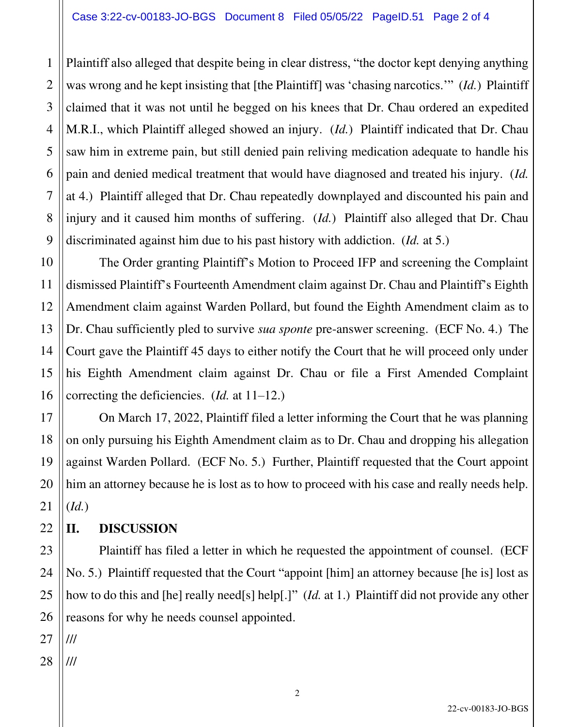Plaintiff also alleged that despite being in clear distress, "the doctor kept denying anything was wrong and he kept insisting that [the Plaintiff] was 'chasing narcotics.'" (*Id.*) Plaintiff claimed that it was not until he begged on his knees that Dr. Chau ordered an expedited M.R.I., which Plaintiff alleged showed an injury. (*Id.*) Plaintiff indicated that Dr. Chau saw him in extreme pain, but still denied pain reliving medication adequate to handle his pain and denied medical treatment that would have diagnosed and treated his injury. (*Id.*  at 4.) Plaintiff alleged that Dr. Chau repeatedly downplayed and discounted his pain and injury and it caused him months of suffering. (*Id.*) Plaintiff also alleged that Dr. Chau discriminated against him due to his past history with addiction. (*Id.* at 5.)

The Order granting Plaintiff's Motion to Proceed IFP and screening the Complaint dismissed Plaintiff's Fourteenth Amendment claim against Dr. Chau and Plaintiff's Eighth Amendment claim against Warden Pollard, but found the Eighth Amendment claim as to Dr. Chau sufficiently pled to survive *sua sponte* pre-answer screening. (ECF No. 4.) The Court gave the Plaintiff 45 days to either notify the Court that he will proceed only under his Eighth Amendment claim against Dr. Chau or file a First Amended Complaint correcting the deficiencies. (*Id.* at 11–12.)

On March 17, 2022, Plaintiff filed a letter informing the Court that he was planning on only pursuing his Eighth Amendment claim as to Dr. Chau and dropping his allegation against Warden Pollard. (ECF No. 5.) Further, Plaintiff requested that the Court appoint him an attorney because he is lost as to how to proceed with his case and really needs help. (*Id.*)

## **II. DISCUSSION**

Plaintiff has filed a letter in which he requested the appointment of counsel. (ECF No. 5.) Plaintiff requested that the Court "appoint [him] an attorney because [he is] lost as how to do this and [he] really need[s] help[.]" (*Id.* at 1.) Plaintiff did not provide any other reasons for why he needs counsel appointed.

27 ///

1

2

3

4

5

6

7

8

9

10

11

12

13

14

15

16

17

18

19

20

21

22

23

24

25

26

28 ///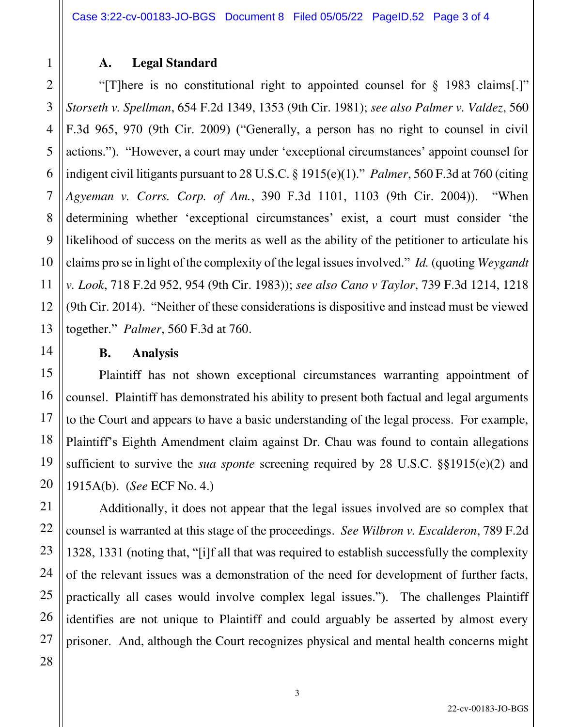## **A. Legal Standard**

"[T]here is no constitutional right to appointed counsel for § 1983 claims[.]" *Storseth v. Spellman*, 654 F.2d 1349, 1353 (9th Cir. 1981); *see also Palmer v. Valdez*, 560 F.3d 965, 970 (9th Cir. 2009) ("Generally, a person has no right to counsel in civil actions."). "However, a court may under 'exceptional circumstances' appoint counsel for indigent civil litigants pursuant to 28 U.S.C. § 1915(e)(1)." *Palmer*, 560 F.3d at 760 (citing *Agyeman v. Corrs. Corp. of Am.*, 390 F.3d 1101, 1103 (9th Cir. 2004)). "When determining whether 'exceptional circumstances' exist, a court must consider 'the likelihood of success on the merits as well as the ability of the petitioner to articulate his claims pro se in light of the complexity of the legal issues involved." *Id.* (quoting *Weygandt v. Look*, 718 F.2d 952, 954 (9th Cir. 1983)); *see also Cano v Taylor*, 739 F.3d 1214, 1218 (9th Cir. 2014). "Neither of these considerations is dispositive and instead must be viewed together." *Palmer*, 560 F.3d at 760.

## **B. Analysis**

Plaintiff has not shown exceptional circumstances warranting appointment of counsel. Plaintiff has demonstrated his ability to present both factual and legal arguments to the Court and appears to have a basic understanding of the legal process. For example, Plaintiff's Eighth Amendment claim against Dr. Chau was found to contain allegations sufficient to survive the *sua sponte* screening required by 28 U.S.C. §§1915(e)(2) and 1915A(b). (*See* ECF No. 4.)

Additionally, it does not appear that the legal issues involved are so complex that counsel is warranted at this stage of the proceedings. *See Wilbron v. Escalderon*, 789 F.2d 1328, 1331 (noting that, "[i]f all that was required to establish successfully the complexity of the relevant issues was a demonstration of the need for development of further facts, practically all cases would involve complex legal issues."). The challenges Plaintiff identifies are not unique to Plaintiff and could arguably be asserted by almost every prisoner. And, although the Court recognizes physical and mental health concerns might

1

2

3

4